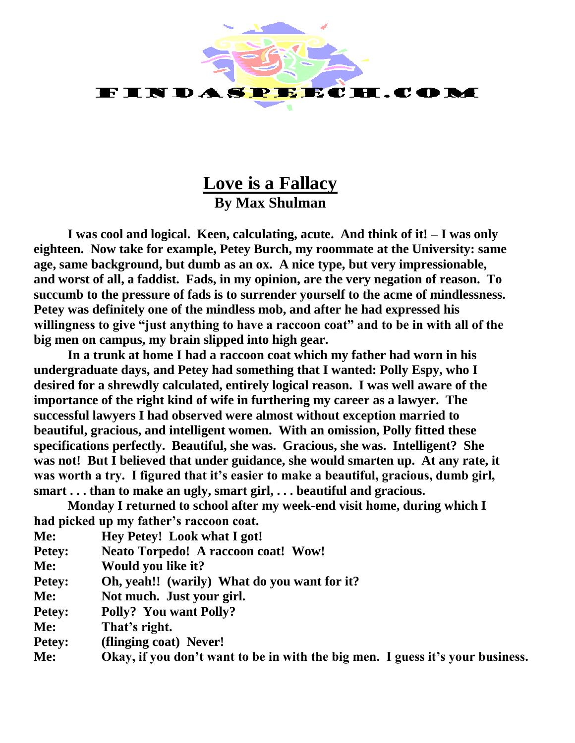

## **Love is a Fallacy By Max Shulman**

**I was cool and logical. Keen, calculating, acute. And think of it! – I was only eighteen. Now take for example, Petey Burch, my roommate at the University: same age, same background, but dumb as an ox. A nice type, but very impressionable, and worst of all, a faddist. Fads, in my opinion, are the very negation of reason. To succumb to the pressure of fads is to surrender yourself to the acme of mindlessness. Petey was definitely one of the mindless mob, and after he had expressed his willingness to give "just anything to have a raccoon coat" and to be in with all of the big men on campus, my brain slipped into high gear.**

**In a trunk at home I had a raccoon coat which my father had worn in his undergraduate days, and Petey had something that I wanted: Polly Espy, who I desired for a shrewdly calculated, entirely logical reason. I was well aware of the importance of the right kind of wife in furthering my career as a lawyer. The successful lawyers I had observed were almost without exception married to beautiful, gracious, and intelligent women. With an omission, Polly fitted these specifications perfectly. Beautiful, she was. Gracious, she was. Intelligent? She was not! But I believed that under guidance, she would smarten up. At any rate, it was worth a try. I figured that it's easier to make a beautiful, gracious, dumb girl, smart . . . than to make an ugly, smart girl, . . . beautiful and gracious.**

**Monday I returned to school after my week-end visit home, during which I had picked up my father's raccoon coat.**

- **Me: Hey Petey! Look what I got!**
- **Petey: Neato Torpedo! A raccoon coat! Wow!**
- **Me: Would you like it?**
- **Petey: Oh, yeah!! (warily) What do you want for it?**
- **Me: Not much. Just your girl.**
- **Petey: Polly? You want Polly?**
- **Me: That's right.**
- **Petey: (flinging coat) Never!**

**Me: Okay, if you don't want to be in with the big men. I guess it's your business.**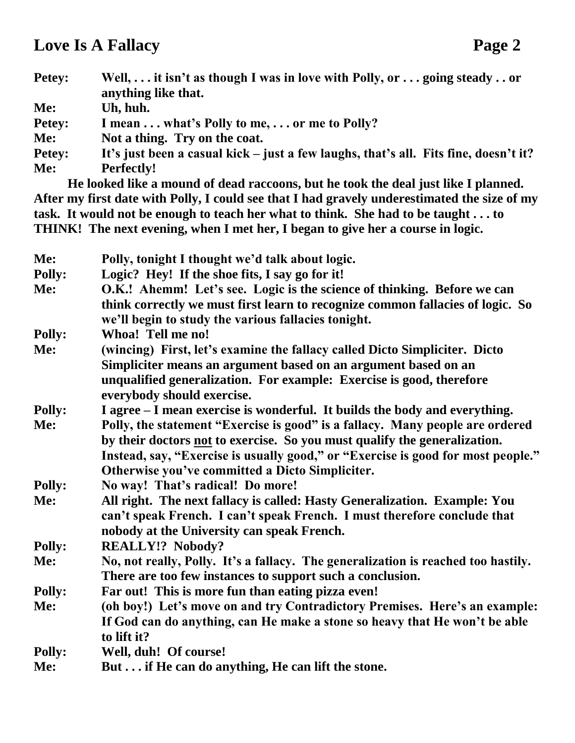## **Love Is A Fallacy Page 2**

| <b>Petey:</b> | Well, $\dots$ it isn't as though I was in love with Polly, or $\dots$ going steady $\dots$ or<br>anything like that.           |
|---------------|--------------------------------------------------------------------------------------------------------------------------------|
| Me:           | Uh, huh.                                                                                                                       |
| <b>Petey:</b> | I mean  what's Polly to me,  or me to Polly?                                                                                   |
| Me:           | Not a thing. Try on the coat.                                                                                                  |
| <b>Petey:</b> | It's just been a casual kick – just a few laughs, that's all. Fits fine, doesn't it?                                           |
| Me:           | <b>Perfectly!</b>                                                                                                              |
|               | $\mathbf{I}$ , and $\mathbf{I}$ , and $\mathbf{I}$ , and $\mathbf{I}$ , and $\mathbf{I}$ , and $\mathbf{I}$ , and $\mathbf{I}$ |

**He looked like a mound of dead raccoons, but he took the deal just like I planned. After my first date with Polly, I could see that I had gravely underestimated the size of my task. It would not be enough to teach her what to think. She had to be taught . . . to THINK! The next evening, when I met her, I began to give her a course in logic.**

| Me:           | Polly, tonight I thought we'd talk about logic.                                   |
|---------------|-----------------------------------------------------------------------------------|
| <b>Polly:</b> | Logic? Hey! If the shoe fits, I say go for it!                                    |
| Me:           | O.K.! Ahemm! Let's see. Logic is the science of thinking. Before we can           |
|               | think correctly we must first learn to recognize common fallacies of logic. So    |
|               | we'll begin to study the various fallacies tonight.                               |
| <b>Polly:</b> | Whoa! Tell me no!                                                                 |
| Me:           | (wincing) First, let's examine the fallacy called Dicto Simpliciter. Dicto        |
|               | Simpliciter means an argument based on an argument based on an                    |
|               | unqualified generalization. For example: Exercise is good, therefore              |
|               | everybody should exercise.                                                        |
| <b>Polly:</b> | I agree – I mean exercise is wonderful. It builds the body and everything.        |
| Me:           | Polly, the statement "Exercise is good" is a fallacy. Many people are ordered     |
|               | by their doctors not to exercise. So you must qualify the generalization.         |
|               | Instead, say, "Exercise is usually good," or "Exercise is good for most people."  |
|               | Otherwise you've committed a Dicto Simpliciter.                                   |
| <b>Polly:</b> | No way! That's radical! Do more!                                                  |
| Me:           | All right. The next fallacy is called: Hasty Generalization. Example: You         |
|               | can't speak French. I can't speak French. I must therefore conclude that          |
|               | nobody at the University can speak French.                                        |
| <b>Polly:</b> | <b>REALLY!? Nobody?</b>                                                           |
| Me:           | No, not really, Polly. It's a fallacy. The generalization is reached too hastily. |
|               | There are too few instances to support such a conclusion.                         |
| <b>Polly:</b> | Far out! This is more fun than eating pizza even!                                 |
| Me:           | (oh boy!) Let's move on and try Contradictory Premises. Here's an example:        |
|               | If God can do anything, can He make a stone so heavy that He won't be able        |
|               | to lift it?                                                                       |
| <b>Polly:</b> | Well, duh! Of course!                                                             |
| Me:           | But if He can do anything, He can lift the stone.                                 |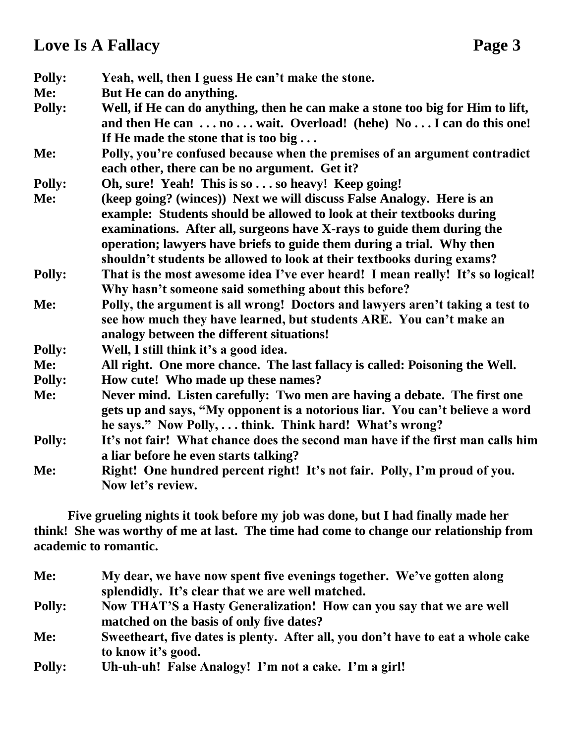## **Love Is A Fallacy Page 3**

| <b>Polly:</b> | Yeah, well, then I guess He can't make the stone.                                                                                                                                                                        |
|---------------|--------------------------------------------------------------------------------------------------------------------------------------------------------------------------------------------------------------------------|
| Me:           | But He can do anything.                                                                                                                                                                                                  |
| <b>Polly:</b> | Well, if He can do anything, then he can make a stone too big for Him to lift,<br>and then He can  no  wait. Overload! (hehe) No  I can do this one!<br>If He made the stone that is too big                             |
| Me:           | Polly, you're confused because when the premises of an argument contradict<br>each other, there can be no argument. Get it?                                                                                              |
| <b>Polly:</b> | Oh, sure! Yeah! This is so so heavy! Keep going!                                                                                                                                                                         |
| Me:           | (keep going? (winces)) Next we will discuss False Analogy. Here is an<br>example: Students should be allowed to look at their textbooks during<br>examinations. After all, surgeons have X-rays to guide them during the |
|               | operation; lawyers have briefs to guide them during a trial. Why then<br>shouldn't students be allowed to look at their textbooks during exams?                                                                          |
| <b>Polly:</b> | That is the most awesome idea I've ever heard! I mean really! It's so logical!<br>Why hasn't someone said something about this before?                                                                                   |
| Me:           | Polly, the argument is all wrong! Doctors and lawyers aren't taking a test to<br>see how much they have learned, but students ARE. You can't make an<br>analogy between the different situations!                        |
| <b>Polly:</b> | Well, I still think it's a good idea.                                                                                                                                                                                    |
| Me:           | All right. One more chance. The last fallacy is called: Poisoning the Well.                                                                                                                                              |
| <b>Polly:</b> | How cute! Who made up these names?                                                                                                                                                                                       |
| Me:           | Never mind. Listen carefully: Two men are having a debate. The first one<br>gets up and says, "My opponent is a notorious liar. You can't believe a word<br>he says." Now Polly,  think. Think hard! What's wrong?       |
| <b>Polly:</b> | It's not fair! What chance does the second man have if the first man calls him<br>a liar before he even starts talking?                                                                                                  |
| Me:           | Right! One hundred percent right! It's not fair. Polly, I'm proud of you.<br>Now let's review.                                                                                                                           |

**Five grueling nights it took before my job was done, but I had finally made her think! She was worthy of me at last. The time had come to change our relationship from academic to romantic.**

| Me:           | My dear, we have now spent five evenings together. We've gotten along           |
|---------------|---------------------------------------------------------------------------------|
|               | splendidly. It's clear that we are well matched.                                |
| <b>Polly:</b> | Now THAT'S a Hasty Generalization! How can you say that we are well             |
|               | matched on the basis of only five dates?                                        |
| Me:           | Sweetheart, five dates is plenty. After all, you don't have to eat a whole cake |
|               | to know it's good.                                                              |
| <b>Polly:</b> | Uh-uh-uh! False Analogy! I'm not a cake. I'm a girl!                            |